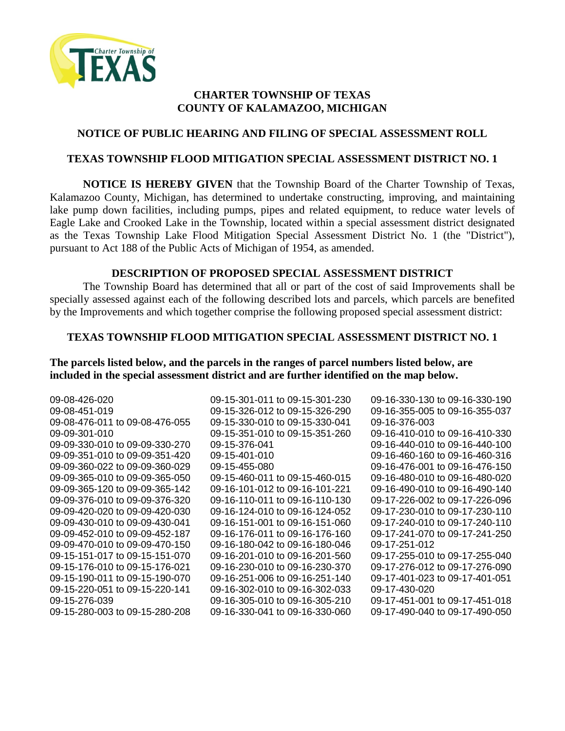

# **CHARTER TOWNSHIP OF TEXAS COUNTY OF KALAMAZOO, MICHIGAN**

# **NOTICE OF PUBLIC HEARING AND FILING OF SPECIAL ASSESSMENT ROLL**

### **TEXAS TOWNSHIP FLOOD MITIGATION SPECIAL ASSESSMENT DISTRICT NO. 1**

**NOTICE IS HEREBY GIVEN** that the Township Board of the Charter Township of Texas, Kalamazoo County, Michigan, has determined to undertake constructing, improving, and maintaining lake pump down facilities, including pumps, pipes and related equipment, to reduce water levels of Eagle Lake and Crooked Lake in the Township, located within a special assessment district designated as the Texas Township Lake Flood Mitigation Special Assessment District No. 1 (the "District"), pursuant to Act 188 of the Public Acts of Michigan of 1954, as amended.

### **DESCRIPTION OF PROPOSED SPECIAL ASSESSMENT DISTRICT**

The Township Board has determined that all or part of the cost of said Improvements shall be specially assessed against each of the following described lots and parcels, which parcels are benefited by the Improvements and which together comprise the following proposed special assessment district:

#### **TEXAS TOWNSHIP FLOOD MITIGATION SPECIAL ASSESSMENT DISTRICT NO. 1**

**The parcels listed below, and the parcels in the ranges of parcel numbers listed below, are included in the special assessment district and are further identified on the map below.** 

| 09-08-426-020                  | 09-15-301-011 to 09-15-301-230 | 09-16-330-130 to 09-16-330-190 |
|--------------------------------|--------------------------------|--------------------------------|
| 09-08-451-019                  | 09-15-326-012 to 09-15-326-290 | 09-16-355-005 to 09-16-355-037 |
| 09-08-476-011 to 09-08-476-055 | 09-15-330-010 to 09-15-330-041 | 09-16-376-003                  |
| 09-09-301-010                  | 09-15-351-010 to 09-15-351-260 | 09-16-410-010 to 09-16-410-330 |
| 09-09-330-010 to 09-09-330-270 | 09-15-376-041                  | 09-16-440-010 to 09-16-440-100 |
| 09-09-351-010 to 09-09-351-420 | 09-15-401-010                  | 09-16-460-160 to 09-16-460-316 |
| 09-09-360-022 to 09-09-360-029 | 09-15-455-080                  | 09-16-476-001 to 09-16-476-150 |
| 09-09-365-010 to 09-09-365-050 | 09-15-460-011 to 09-15-460-015 | 09-16-480-010 to 09-16-480-020 |
| 09-09-365-120 to 09-09-365-142 | 09-16-101-012 to 09-16-101-221 | 09-16-490-010 to 09-16-490-140 |
| 09-09-376-010 to 09-09-376-320 | 09-16-110-011 to 09-16-110-130 | 09-17-226-002 to 09-17-226-096 |
| 09-09-420-020 to 09-09-420-030 | 09-16-124-010 to 09-16-124-052 | 09-17-230-010 to 09-17-230-110 |
| 09-09-430-010 to 09-09-430-041 | 09-16-151-001 to 09-16-151-060 | 09-17-240-010 to 09-17-240-110 |
| 09-09-452-010 to 09-09-452-187 | 09-16-176-011 to 09-16-176-160 | 09-17-241-070 to 09-17-241-250 |
| 09-09-470-010 to 09-09-470-150 | 09-16-180-042 to 09-16-180-046 | 09-17-251-012                  |
| 09-15-151-017 to 09-15-151-070 | 09-16-201-010 to 09-16-201-560 | 09-17-255-010 to 09-17-255-040 |
| 09-15-176-010 to 09-15-176-021 | 09-16-230-010 to 09-16-230-370 | 09-17-276-012 to 09-17-276-090 |
| 09-15-190-011 to 09-15-190-070 | 09-16-251-006 to 09-16-251-140 | 09-17-401-023 to 09-17-401-051 |
| 09-15-220-051 to 09-15-220-141 | 09-16-302-010 to 09-16-302-033 | 09-17-430-020                  |
| 09-15-276-039                  | 09-16-305-010 to 09-16-305-210 | 09-17-451-001 to 09-17-451-018 |
| 09-15-280-003 to 09-15-280-208 | 09-16-330-041 to 09-16-330-060 | 09-17-490-040 to 09-17-490-050 |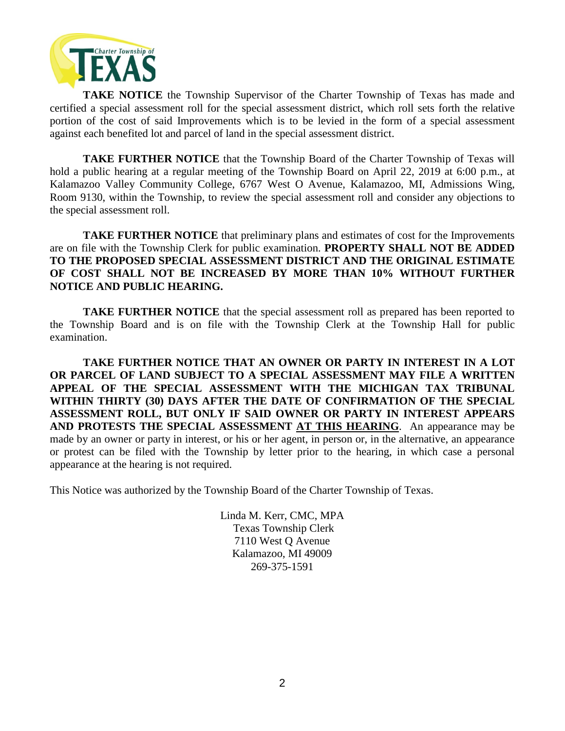

**TAKE NOTICE** the Township Supervisor of the Charter Township of Texas has made and certified a special assessment roll for the special assessment district, which roll sets forth the relative portion of the cost of said Improvements which is to be levied in the form of a special assessment against each benefited lot and parcel of land in the special assessment district.

**TAKE FURTHER NOTICE** that the Township Board of the Charter Township of Texas will hold a public hearing at a regular meeting of the Township Board on April 22, 2019 at 6:00 p.m., at Kalamazoo Valley Community College, 6767 West O Avenue, Kalamazoo, MI, Admissions Wing, Room 9130, within the Township, to review the special assessment roll and consider any objections to the special assessment roll.

**TAKE FURTHER NOTICE** that preliminary plans and estimates of cost for the Improvements are on file with the Township Clerk for public examination. **PROPERTY SHALL NOT BE ADDED TO THE PROPOSED SPECIAL ASSESSMENT DISTRICT AND THE ORIGINAL ESTIMATE OF COST SHALL NOT BE INCREASED BY MORE THAN 10% WITHOUT FURTHER NOTICE AND PUBLIC HEARING.**

**TAKE FURTHER NOTICE** that the special assessment roll as prepared has been reported to the Township Board and is on file with the Township Clerk at the Township Hall for public examination.

**TAKE FURTHER NOTICE THAT AN OWNER OR PARTY IN INTEREST IN A LOT OR PARCEL OF LAND SUBJECT TO A SPECIAL ASSESSMENT MAY FILE A WRITTEN APPEAL OF THE SPECIAL ASSESSMENT WITH THE MICHIGAN TAX TRIBUNAL WITHIN THIRTY (30) DAYS AFTER THE DATE OF CONFIRMATION OF THE SPECIAL ASSESSMENT ROLL, BUT ONLY IF SAID OWNER OR PARTY IN INTEREST APPEARS AND PROTESTS THE SPECIAL ASSESSMENT AT THIS HEARING**. An appearance may be made by an owner or party in interest, or his or her agent, in person or, in the alternative, an appearance or protest can be filed with the Township by letter prior to the hearing, in which case a personal appearance at the hearing is not required.

This Notice was authorized by the Township Board of the Charter Township of Texas.

Linda M. Kerr, CMC, MPA Texas Township Clerk 7110 West Q Avenue Kalamazoo, MI 49009 269-375-1591